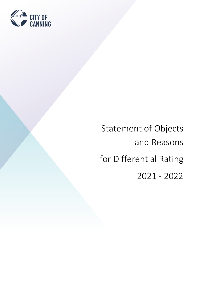

# Statement of Objects and Reasons for Differential Rating 2021 - 2022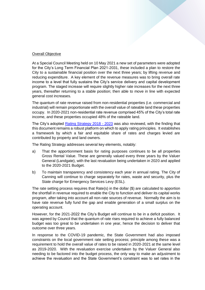#### Overall Objective

At a Special Council Meeting held on 10 May 2021 a new set of parameters were adopted for the City's Long Term Financial Plan 2021-2031, these included a plan to restore the City to a sustainable financial position over the next three years; by lifting revenue and reducing expenditure. A key element of the revenue measures was to bring overall rate income to a level that fully sustains the City's service delivery and capital development program. The staged increase will require slightly higher rate increases for the next three years, thereafter returning to a stable position; then able to move in line with expected general cost increases.

The quantum of rate revenue raised from non-residential properties (i.e. commercial and industrial) will remain proportionate with the overall value of rateable land these properties occupy. In 2020-2021 non-residential rate revenue comprised 45% of the City's total rate income, and these properties occupied 48% of the rateable land.

The City's adopted **Rating Strategy 2018 - 2023** was also reviewed, with the finding that this document remains a robust platform on which to apply rating principles. It establishes a framework by which a fair and equitable share of rates and charges levied are contributed by property and land owners.

The Rating Strategy addresses several key elements, notably:

- a) That the apportionment basis for rating purposes continues to be all properties Gross Rental Value. These are generally valued every three years by the Valuer General (Landgate), with the last revaluation being undertaken in 2020 and applied to the 2020-2021 Budget.
- b) To maintain transparency and consistency each year in annual rating. The City of Canning will continue to charge separately for rates, waste and security, plus the State charge for Emergency Services Levy (ESL).

The rate setting process requires that Rate(s) in the dollar (\$) are calculated to apportion the shortfall in revenue required to enable the City to function and deliver its capital works program, after taking into account all non‐rate sources of revenue. Normally the aim is to have rate revenue fully fund the gap and enable generation of a small surplus on the operating account.

However, for the 2021-2022 the City's Budget will continue to be in a deficit position. It was agreed by Council that the quantum of rate rises required to achieve a fully balanced budget was too great to be undertaken in one year, hence the decision to deliver that outcome over three years.

In response to the COVID-19 pandemic, the State Government had also imposed constraints on the local government rate setting process; principle among these was a requirement to hold the overall value of rates to be raised in 2020-2021 at the same level as 2019-2020. With the revaluation exercise undertaken by the Valuer General also needing to be factored into the budget process, the only way to make an adjustment to achieve the revaluation and the State Government's constraint was to set rates in the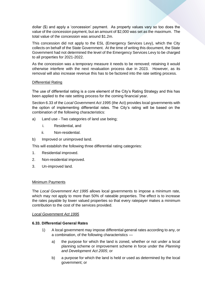dollar (\$) and apply a 'concession' payment. As property values vary so too does the value of the concession payment, but an amount of \$2,000 was set as the maximum. The total value of the concession was around \$1.2m.

This concession did not apply to the ESL (Emergency Services Levy), which the City collects on behalf of the State Government. At the time of writing this document, the State Government had not determined the level of the Emergency Services Levy to be charged to all properties for 2021-2022.

As the concession was a temporary measure it needs to be removed; retaining it would otherwise interfere with the next revaluation process due in 2023. However, as its removal will also increase revenue this has to be factored into the rate setting process.

# Differential Rating

The use of differential rating is a core element of the City's Rating Strategy and this has been applied to the rate setting process for the coming financial year.

Section 6.33 of the *Local Government Act 1995* (the Act) provides local governments with the option of implementing differential rates. The City's rating will be based on the combination of the following characteristics:

- a) Land use Two categories of land use being;
	- i. Residential, and
	- ii. Non-residential.
- b) Improved or unimproved land.

This will establish the following three differential rating categories:

- 1. Residential improved.
- 2. Non-residential improved.
- 3. Un-improved land.

# Minimum Payments

The *Local Government Act 1995* allows local governments to impose a minimum rate, which may not apply to more than 50% of rateable properties. The effect is to increase the rates payable by lower valued properties so that every ratepayer makes a minimum contribution to the cost of the services provided.

# *Local Government Act 1995*

# **6.33. Differential General Rates**

- 1) A local government may impose differential general rates according to any, or a combination, of the following characteristics
	- a) the purpose for which the land is zoned, whether or not under a local planning scheme or improvement scheme in force under the *Planning and Development Act 2005*; or
	- b) a purpose for which the land is held or used as determined by the local government; or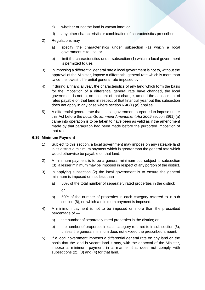- c) whether or not the land is vacant land; or
- d) any other characteristic or combination of characteristics prescribed.
- 2) Regulations may
	- a) specify the characteristics under subsection (1) which a local government is to use; or
	- b) limit the characteristics under subsection (1) which a local government is permitted to use.
- 3) In imposing a differential general rate a local government is not to, without the approval of the Minister, impose a differential general rate which is more than twice the lowest differential general rate imposed by it.
- 4) If during a financial year, the characteristics of any land which form the basis for the imposition of a differential general rate have changed, the local government is not to, on account of that change, amend the assessment of rates payable on that land in respect of that financial year but this subsection does not apply in any case where section 6.40(1) (a) applies.
- 5) A differential general rate that a local government purported to impose under this Act before the *Local Government Amendment Act 2009* section 39(1) (a) came into operation is to be taken to have been as valid as if the amendment made by that paragraph had been made before the purported imposition of that rate.

# **6.35. Minimum Payment**

- 1) Subject to this section, a local government may impose on any rateable land in its district a minimum payment which is greater than the general rate which would otherwise be payable on that land.
- 2) A minimum payment is to be a general minimum but, subject to subsection (3), a lesser minimum may be imposed in respect of any portion of the district.
- 3) In applying subsection (2) the local government is to ensure the general minimum is imposed on not less than
	- a) 50% of the total number of separately rated properties in the district;

or

- b) 50% of the number of properties in each category referred to in sub section (6), on which a minimum payment is imposed.
- 4) A minimum payment is not to be imposed on more than the prescribed percentage of
	- a) the number of separately rated properties in the district; or
	- b) the number of properties in each category referred to in sub section (6), unless the general minimum does not exceed the prescribed amount.
- 5) If a local government imposes a differential general rate on any land on the basis that the land is vacant land it may, with the approval of the Minister, impose a minimum payment in a manner that does not comply with subsections (2), (3) and (4) for that land.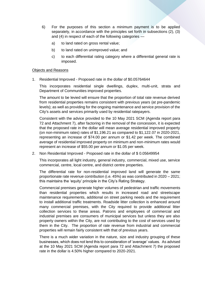- 6) For the purposes of this section a minimum payment is to be applied separately, in accordance with the principles set forth in subsections (2), (3) and (4) in respect of each of the following categories
	- a) to land rated on gross rental value;
	- b) to land rated on unimproved value; and
	- c) to each differential rating category where a differential general rate is imposed.

#### Objects and Reasons

1. Residential Improved - Proposed rate in the dollar of \$0.05764644

This incorporates residential single dwellings, duplex, multi-unit, strata and Department of Communities improved properties.

The amount to be levied will ensure that the proportion of total rate revenue derived from residential properties remains consistent with previous years (at pre-pandemic levels); as well as providing for the ongoing maintenance and service provision of the City's assets and services primarily used by residential ratepayers.

Consistent with the advice provided to the 10 May 2021 SCM (Agenda report para 72 and Attachment 7), after factoring in the removal of the concession, it is expected that the proposed rate in the dollar will mean average residential improved property (on non-minimum rates) rates of \$1,196.21 as compared to \$1,122.07 in 2020-2021, representing an increase of \$74.00 per annum or \$1.42 per week. The combined average of residential improved property on minimum and non-minimum rates would represent an increase of \$55.00 per annum or \$1.05 per week.

2. Non Residential Improved - Proposed rate in the dollar of \$ 0.05649954

This incorporates all light industry, general industry, commercial, mixed use, service commercial, centre, local centre, and district centre properties.

The differential rate for non-residential improved land will generate the same proportionate rate revenue contribution (i.e. 45%) as was contributed in 2020 – 2021; this maintains the 'equity' principle in the City's Rating Strategy.

Commercial premises generate higher volumes of pedestrian and traffic movements than residential properties which results in increased road and streetscape maintenance requirements, additional on street parking needs and the requirement to install additional traffic treatments. Roadside litter collection is enhanced around many commercial premises, with the City required to provide additional litter collection services to these areas. Patrons and employees of commercial and industrial premises are consumers of municipal services but unless they are also property owners within the City, are not contributing to the cost of services used by them in the City. The proportion of rate revenue from industrial and commercial properties will remain fairly consistent with that of previous years.

There is a much wider variation in the nature, size and industry grouping of these businesses, which does not lend this to consideration of 'average' values. As advised at the 10 May 2021 SCM (Agenda report para 72 and Attachment 7) the proposed rate in the dollar is 4.50% higher compared to 2020-2021.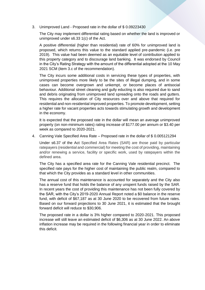3. Unimproved Land - Proposed rate in the dollar of \$ 0.09223430

The City may implement differential rating based on whether the land is improved or unimproved under s6.33 1(c) of the Act.

A positive differential (higher than residential) rate of 60% for unimproved land is proposed, which returns this value to the standard applied pre-pandemic (i.e. pre 2019). This value had been deemed as an equitable level of contribution applied to this property category and to discourage land banking. It was endorsed by Council in the City's Rating Strategy with the amount of the differential adopted at the 10 May 2021 SCM (item 3.c of the recommendation).

The City incurs some additional costs in servicing these types of properties, with unimproved properties more likely to be the sites of illegal dumping, and in some cases can become overgrown and unkempt, or become places of antisocial behaviour. Additional street cleaning and gully educting is also required due to sand and debris originating from unimproved land spreading onto the roads and gutters. This requires the allocation of City resources over and above that required for residential and non-residential improved properties. To promote development, setting a higher rate for vacant properties acts towards stimulating growth and development in the economy.

It is expected that the proposed rate in the dollar will mean an average unimproved property (on non-minimum rates) rating increase of \$177.00 per annum or \$3.40 per week as compared to 2020-2021.

4. Canning Vale Specified Area Rate – Proposed rate in the dollar of \$ 0.005121294

Under s6.37 of the Act Specified Area Rates (SAR) are those paid by particular ratepayers (residential and commercial) for meeting the cost of providing, maintaining and/or renewing a service, facility or specific work, used by ratepayers within the defined area.

The City has a specified area rate for the Canning Vale residential precinct. The specified rate pays for the higher cost of maintaining the public realm, compared to that which the City provides as a standard level in other communities.

The annual cost of this maintenance is accounted for separately and the City also has a reserve fund that holds the balance of any unspent funds raised by the SAR. In recent years the cost of providing this maintenance has not been fully covered by the SAR, with the City's 2019-2020 Annual Report noted a \$0 balance in the reserve fund, with deficit of \$67,187 as at 30 June 2020 to be recovered from future rates. Based on our forward projections to 30 June 2021, it is estimated that the brought forward deficit will reduce to \$30,906.

The proposed rate in a dollar is 3% higher compared to 2020-2021. This proposed increase will still leave an estimated deficit of \$6,306 as at 30 June 2022. An above inflation increase may be required in the following financial year in order to eliminate this deficit.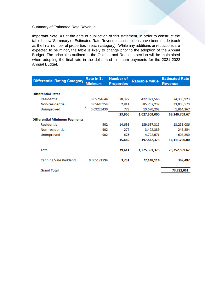#### **Summary of Estimated Rate Revenue**

Important Note: As at the date of publication of this statement, in order to construct the table below 'Summary of Estimated Rate Revenue', assumptions have been made (such as the final number of properties in each category). While any additions or reductions are expected to be minor, the table is likely to change prior to the adoption of the Annual Budget. The principles outlined in the Objects and Reasons section will be maintained when adopting the final rate in the dollar and minimum payments for the 2021-2022 Annual Budget.

| <b>Differential Rating Category</b>  | Rate in \$/<br><b>Minimum</b> | <b>Number of</b><br><b>Properties</b> | <b>Rateable Value</b> | <b>Estimated Rate</b><br><b>Revenue</b> |
|--------------------------------------|-------------------------------|---------------------------------------|-----------------------|-----------------------------------------|
|                                      |                               |                                       |                       |                                         |
| <b>Differential Rates</b>            |                               |                                       |                       |                                         |
| Residential                          | 0.05764644                    | 20,377                                | 422,071,566           | 24,330,923                              |
| Non-residential                      | 0.05649954                    | 2,811                                 | 585,767,232           | 33,095,579                              |
| Unimproved                           | ▼<br>0.09223430               | 778                                   | 19,670,202            | 1,814,267                               |
|                                      |                               | 23,966                                | 1,027,509,000         | 59,240,769.67                           |
| <b>Differential Minimum Payments</b> |                               |                                       |                       |                                         |
| Residential                          | 902                           | 14,693                                | 189,697,315           | 13,253,086                              |
| Non-residential                      | 902                           | 277                                   | 3,422,389             | 249,854                                 |
| Unimproved                           | 902                           | 675                                   | 4,722,671             | 608,850                                 |
|                                      |                               | 15,645                                | 197,842,375           | 14,111,790.00                           |
| Total                                |                               | 39,611                                | 1,225,351,375         | 73,352,559.67                           |
| Canning Vale Parkland                | 0.005121294                   | 3,251                                 | 72,148,114            | 369,492                                 |
| <b>Grand Total</b>                   |                               |                                       |                       | 73,722,051                              |